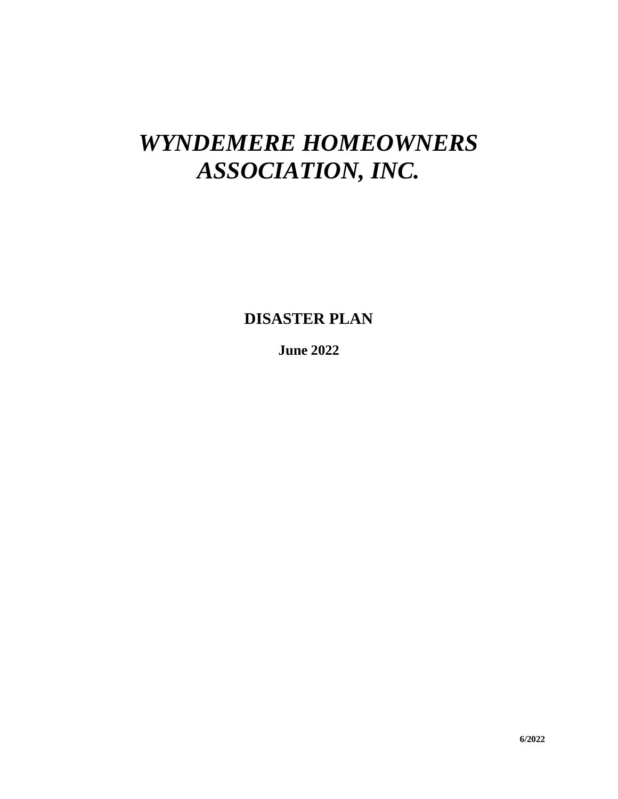# *WYNDEMERE HOMEOWNERS ASSOCIATION, INC.*

**DISASTER PLAN**

**June 2022**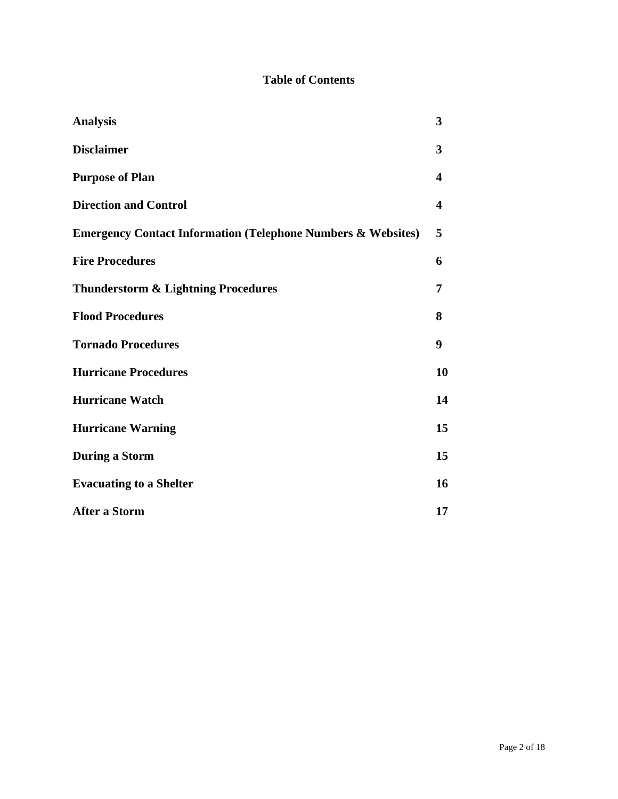# **Table of Contents**

| <b>Analysis</b>                                                         | 3  |  |  |  |
|-------------------------------------------------------------------------|----|--|--|--|
| <b>Disclaimer</b>                                                       | 3  |  |  |  |
| <b>Purpose of Plan</b>                                                  | 4  |  |  |  |
| <b>Direction and Control</b>                                            | 4  |  |  |  |
| <b>Emergency Contact Information (Telephone Numbers &amp; Websites)</b> |    |  |  |  |
| <b>Fire Procedures</b>                                                  | 6  |  |  |  |
| <b>Thunderstorm &amp; Lightning Procedures</b>                          | 7  |  |  |  |
| <b>Flood Procedures</b>                                                 | 8  |  |  |  |
| <b>Tornado Procedures</b>                                               | 9  |  |  |  |
| <b>Hurricane Procedures</b>                                             | 10 |  |  |  |
| <b>Hurricane Watch</b>                                                  | 14 |  |  |  |
| <b>Hurricane Warning</b>                                                | 15 |  |  |  |
| <b>During a Storm</b>                                                   | 15 |  |  |  |
| <b>Evacuating to a Shelter</b>                                          | 16 |  |  |  |
| <b>After a Storm</b>                                                    | 17 |  |  |  |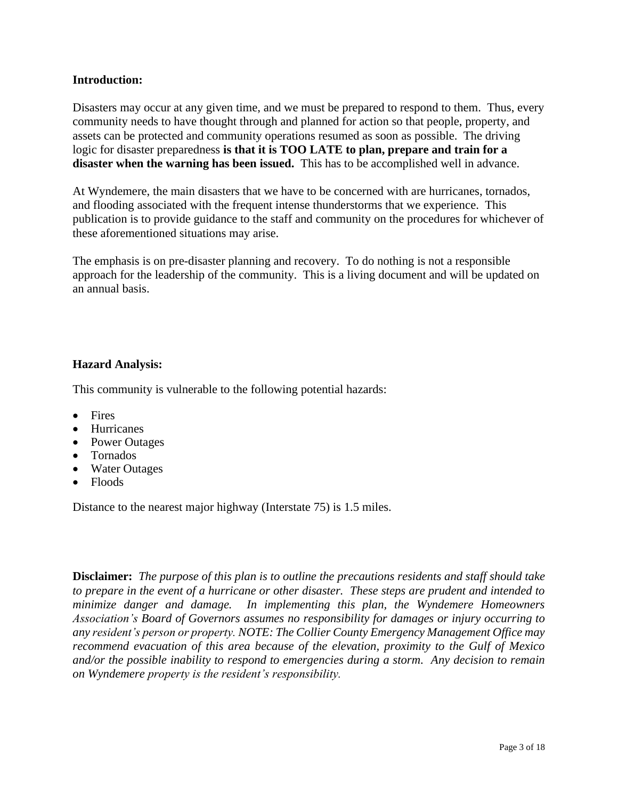### **Introduction:**

Disasters may occur at any given time, and we must be prepared to respond to them. Thus, every community needs to have thought through and planned for action so that people, property, and assets can be protected and community operations resumed as soon as possible. The driving logic for disaster preparedness **is that it is TOO LATE to plan, prepare and train for a disaster when the warning has been issued.** This has to be accomplished well in advance.

At Wyndemere, the main disasters that we have to be concerned with are hurricanes, tornados, and flooding associated with the frequent intense thunderstorms that we experience. This publication is to provide guidance to the staff and community on the procedures for whichever of these aforementioned situations may arise.

The emphasis is on pre-disaster planning and recovery. To do nothing is not a responsible approach for the leadership of the community. This is a living document and will be updated on an annual basis.

# **Hazard Analysis:**

This community is vulnerable to the following potential hazards:

- Fires
- Hurricanes
- Power Outages
- Tornados
- Water Outages
- Floods

Distance to the nearest major highway (Interstate 75) is 1.5 miles.

**Disclaimer:** *The purpose of this plan is to outline the precautions residents and staff should take to prepare in the event of a hurricane or other disaster. These steps are prudent and intended to minimize danger and damage. In implementing this plan, the Wyndemere Homeowners Association's Board of Governors assumes no responsibility for damages or injury occurring to any resident's person or property. NOTE: The Collier County Emergency Management Office may recommend evacuation of this area because of the elevation, proximity to the Gulf of Mexico and/or the possible inability to respond to emergencies during a storm. Any decision to remain on Wyndemere property is the resident's responsibility.*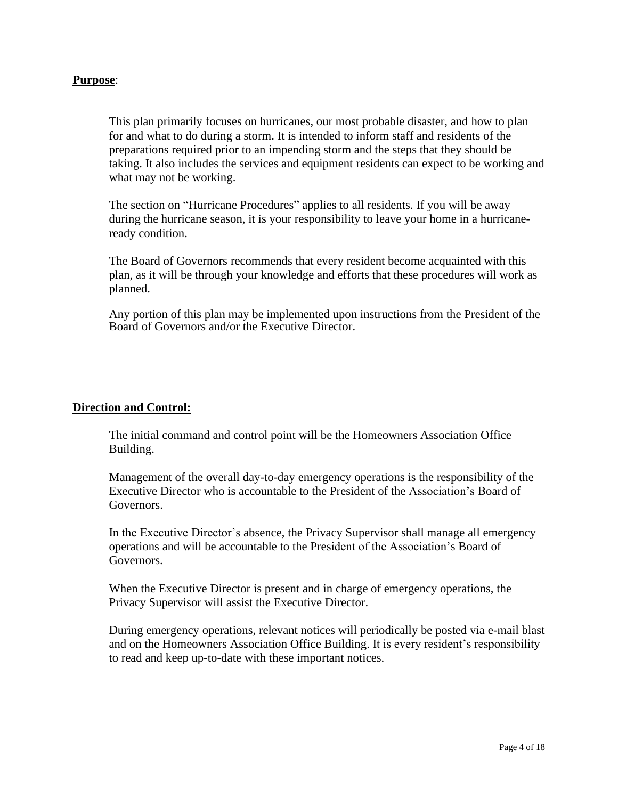### **Purpose**:

This plan primarily focuses on hurricanes, our most probable disaster, and how to plan for and what to do during a storm. It is intended to inform staff and residents of the preparations required prior to an impending storm and the steps that they should be taking. It also includes the services and equipment residents can expect to be working and what may not be working.

The section on "Hurricane Procedures" applies to all residents. If you will be away during the hurricane season, it is your responsibility to leave your home in a hurricaneready condition.

The Board of Governors recommends that every resident become acquainted with this plan, as it will be through your knowledge and efforts that these procedures will work as planned.

Any portion of this plan may be implemented upon instructions from the President of the Board of Governors and/or the Executive Director.

### **Direction and Control:**

The initial command and control point will be the Homeowners Association Office Building.

Management of the overall day-to-day emergency operations is the responsibility of the Executive Director who is accountable to the President of the Association's Board of Governors.

In the Executive Director's absence, the Privacy Supervisor shall manage all emergency operations and will be accountable to the President of the Association's Board of Governors.

When the Executive Director is present and in charge of emergency operations, the Privacy Supervisor will assist the Executive Director.

During emergency operations, relevant notices will periodically be posted via e-mail blast and on the Homeowners Association Office Building. It is every resident's responsibility to read and keep up-to-date with these important notices.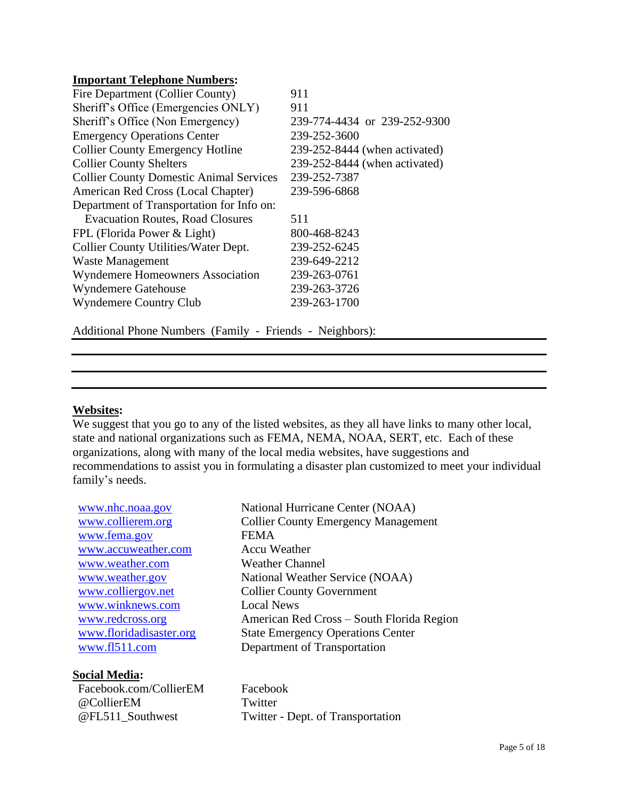### **Important Telephone Numbers:**

| Fire Department (Collier County)               | 911                           |
|------------------------------------------------|-------------------------------|
| Sheriff's Office (Emergencies ONLY)            | 911                           |
| Sheriff's Office (Non Emergency)               | 239-774-4434 or 239-252-9300  |
| <b>Emergency Operations Center</b>             | 239-252-3600                  |
| <b>Collier County Emergency Hotline</b>        | 239-252-8444 (when activated) |
| <b>Collier County Shelters</b>                 | 239-252-8444 (when activated) |
| <b>Collier County Domestic Animal Services</b> | 239-252-7387                  |
| American Red Cross (Local Chapter)             | 239-596-6868                  |
| Department of Transportation for Info on:      |                               |
| <b>Evacuation Routes, Road Closures</b>        | 511                           |
| FPL (Florida Power & Light)                    | 800-468-8243                  |
| Collier County Utilities/Water Dept.           | 239-252-6245                  |
| <b>Waste Management</b>                        | 239-649-2212                  |
| <b>Wyndemere Homeowners Association</b>        | 239-263-0761                  |
| <b>Wyndemere Gatehouse</b>                     | 239-263-3726                  |
| <b>Wyndemere Country Club</b>                  | 239-263-1700                  |
|                                                |                               |

Additional Phone Numbers (Family - Friends - Neighbors):

# **Websites:**

We suggest that you go to any of the listed websites, as they all have links to many other local, state and national organizations such as FEMA, NEMA, NOAA, SERT, etc. Each of these organizations, along with many of the local media websites, have suggestions and recommendations to assist you in formulating a disaster plan customized to meet your individual family's needs.

[www.nhc.noaa.gov](http://www.nhc.noaa.gov/) National Hurricane Center (NOAA) [www.fema.gov](http://www.fema.gov/) FEMA [www.accuweather.com](http://www.accuweather.com/) Accu Weather [www.weather.com](http://www.weather.com/) Weather Channel [www.winknews.com](http://www.winknews.com/) Local News

# **Social Media:**

Facebook.com/CollierEM Facebook @CollierEM Twitter

[www.collierem.org](http://www.collierem.org/) Collier County Emergency Management [www.weather.gov](http://www.weather.gov/) National Weather Service (NOAA) [www.colliergov.net](http://www.colliergov.net/) Collier County Government [www.redcross.org](http://www.redcross.org/) American Red Cross – South Florida Region [www.floridadisaster.org](http://www.floridadisaster.org/) State Emergency Operations Center [www.fl511.com](http://www.fl511.com/) Department of Transportation

@FL511\_Southwest Twitter - Dept. of Transportation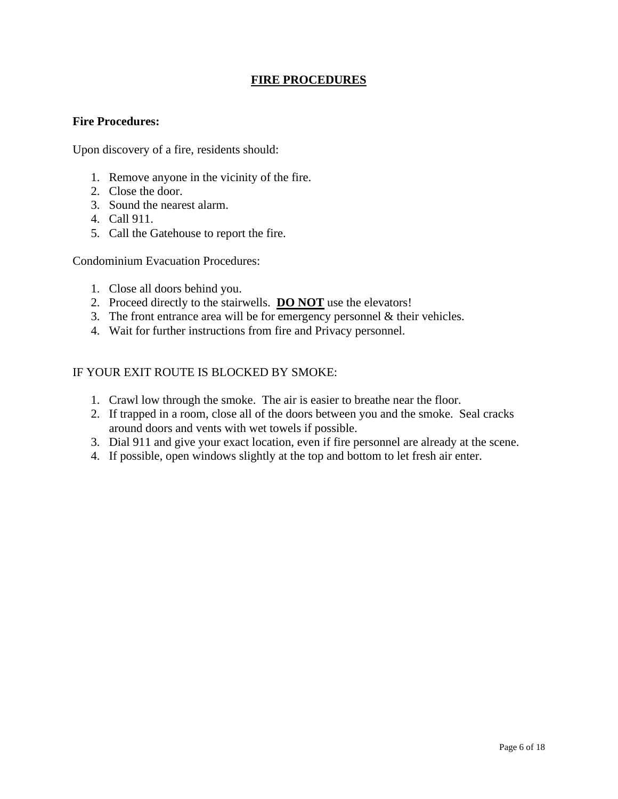# **FIRE PROCEDURES**

### **Fire Procedures:**

Upon discovery of a fire, residents should:

- 1. Remove anyone in the vicinity of the fire.
- 2. Close the door.
- 3. Sound the nearest alarm.
- 4. Call 911.
- 5. Call the Gatehouse to report the fire.

Condominium Evacuation Procedures:

- 1. Close all doors behind you.
- 2. Proceed directly to the stairwells. **DO NOT** use the elevators!
- 3. The front entrance area will be for emergency personnel & their vehicles.
- 4. Wait for further instructions from fire and Privacy personnel.

### IF YOUR EXIT ROUTE IS BLOCKED BY SMOKE:

- 1. Crawl low through the smoke. The air is easier to breathe near the floor.
- 2. If trapped in a room, close all of the doors between you and the smoke. Seal cracks around doors and vents with wet towels if possible.
- 3. Dial 911 and give your exact location, even if fire personnel are already at the scene.
- 4. If possible, open windows slightly at the top and bottom to let fresh air enter.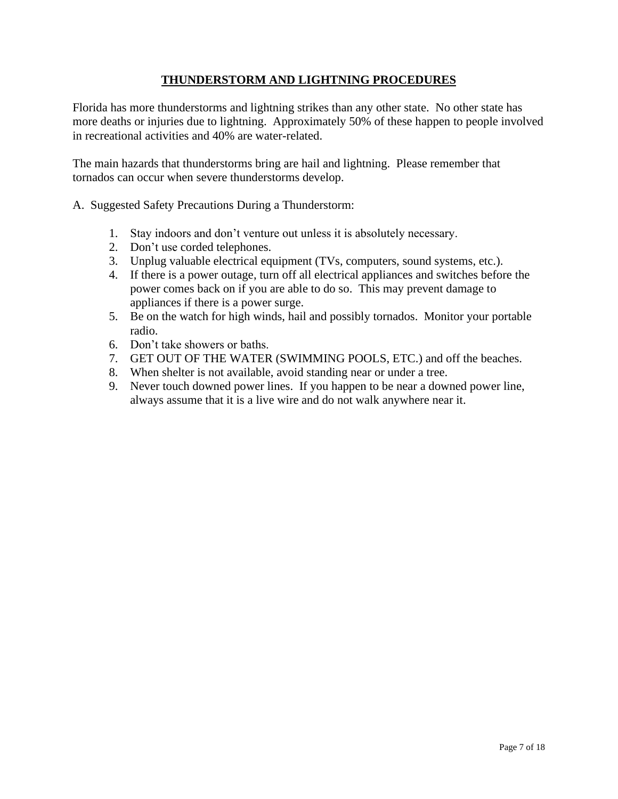# **THUNDERSTORM AND LIGHTNING PROCEDURES**

Florida has more thunderstorms and lightning strikes than any other state. No other state has more deaths or injuries due to lightning. Approximately 50% of these happen to people involved in recreational activities and 40% are water-related.

The main hazards that thunderstorms bring are hail and lightning. Please remember that tornados can occur when severe thunderstorms develop.

- A. Suggested Safety Precautions During a Thunderstorm:
	- 1. Stay indoors and don't venture out unless it is absolutely necessary.
	- 2. Don't use corded telephones.
	- 3. Unplug valuable electrical equipment (TVs, computers, sound systems, etc.).
	- 4. If there is a power outage, turn off all electrical appliances and switches before the power comes back on if you are able to do so. This may prevent damage to appliances if there is a power surge.
	- 5. Be on the watch for high winds, hail and possibly tornados. Monitor your portable radio.
	- 6. Don't take showers or baths.
	- 7. GET OUT OF THE WATER (SWIMMING POOLS, ETC.) and off the beaches.
	- 8. When shelter is not available, avoid standing near or under a tree.
	- 9. Never touch downed power lines. If you happen to be near a downed power line, always assume that it is a live wire and do not walk anywhere near it.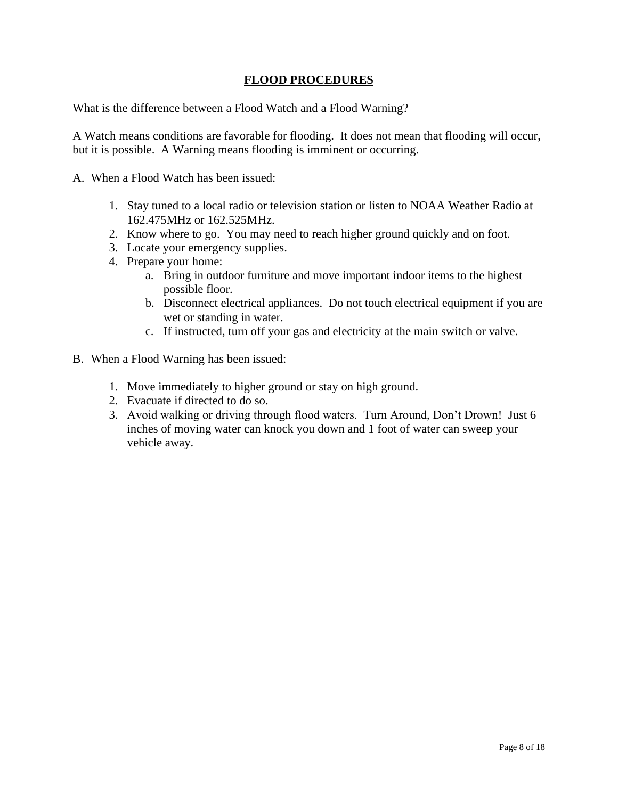# **FLOOD PROCEDURES**

What is the difference between a Flood Watch and a Flood Warning?

A Watch means conditions are favorable for flooding. It does not mean that flooding will occur, but it is possible. A Warning means flooding is imminent or occurring.

A. When a Flood Watch has been issued:

- 1. Stay tuned to a local radio or television station or listen to NOAA Weather Radio at 162.475MHz or 162.525MHz.
- 2. Know where to go. You may need to reach higher ground quickly and on foot.
- 3. Locate your emergency supplies.
- 4. Prepare your home:
	- a. Bring in outdoor furniture and move important indoor items to the highest possible floor.
	- b. Disconnect electrical appliances. Do not touch electrical equipment if you are wet or standing in water.
	- c. If instructed, turn off your gas and electricity at the main switch or valve.
- B. When a Flood Warning has been issued:
	- 1. Move immediately to higher ground or stay on high ground.
	- 2. Evacuate if directed to do so.
	- 3. Avoid walking or driving through flood waters. Turn Around, Don't Drown! Just 6 inches of moving water can knock you down and 1 foot of water can sweep your vehicle away.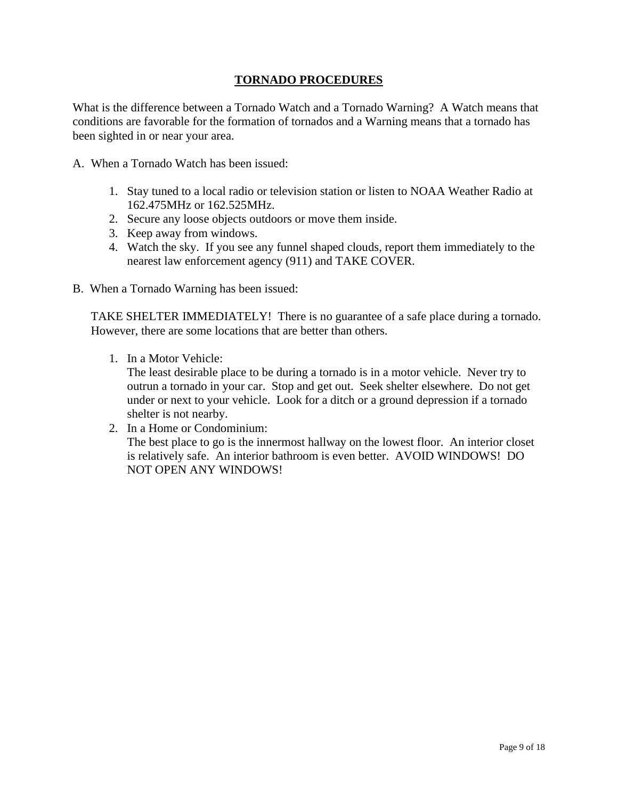# **TORNADO PROCEDURES**

What is the difference between a Tornado Watch and a Tornado Warning? A Watch means that conditions are favorable for the formation of tornados and a Warning means that a tornado has been sighted in or near your area.

- A. When a Tornado Watch has been issued:
	- 1. Stay tuned to a local radio or television station or listen to NOAA Weather Radio at 162.475MHz or 162.525MHz.
	- 2. Secure any loose objects outdoors or move them inside.
	- 3. Keep away from windows.
	- 4. Watch the sky. If you see any funnel shaped clouds, report them immediately to the nearest law enforcement agency (911) and TAKE COVER.
- B. When a Tornado Warning has been issued:

TAKE SHELTER IMMEDIATELY! There is no guarantee of a safe place during a tornado. However, there are some locations that are better than others.

1. In a Motor Vehicle:

The least desirable place to be during a tornado is in a motor vehicle. Never try to outrun a tornado in your car. Stop and get out. Seek shelter elsewhere. Do not get under or next to your vehicle. Look for a ditch or a ground depression if a tornado shelter is not nearby.

2. In a Home or Condominium: The best place to go is the innermost hallway on the lowest floor. An interior closet is relatively safe. An interior bathroom is even better. AVOID WINDOWS! DO NOT OPEN ANY WINDOWS!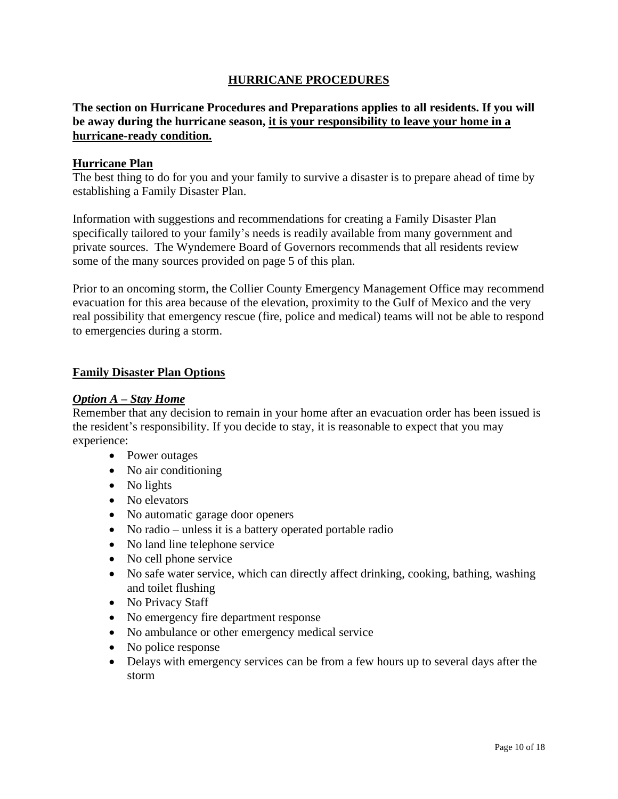# **HURRICANE PROCEDURES**

# **The section on Hurricane Procedures and Preparations applies to all residents. If you will be away during the hurricane season, it is your responsibility to leave your home in a hurricane-ready condition.**

### **Hurricane Plan**

The best thing to do for you and your family to survive a disaster is to prepare ahead of time by establishing a Family Disaster Plan.

Information with suggestions and recommendations for creating a Family Disaster Plan specifically tailored to your family's needs is readily available from many government and private sources. The Wyndemere Board of Governors recommends that all residents review some of the many sources provided on page 5 of this plan.

Prior to an oncoming storm, the Collier County Emergency Management Office may recommend evacuation for this area because of the elevation, proximity to the Gulf of Mexico and the very real possibility that emergency rescue (fire, police and medical) teams will not be able to respond to emergencies during a storm.

### **Family Disaster Plan Options**

### *Option A – Stay Home*

Remember that any decision to remain in your home after an evacuation order has been issued is the resident's responsibility. If you decide to stay, it is reasonable to expect that you may experience:

- Power outages
- No air conditioning
- No lights
- No elevators
- No automatic garage door openers
- No radio unless it is a battery operated portable radio
- No land line telephone service
- No cell phone service
- No safe water service, which can directly affect drinking, cooking, bathing, washing and toilet flushing
- No Privacy Staff
- No emergency fire department response
- No ambulance or other emergency medical service
- No police response
- Delays with emergency services can be from a few hours up to several days after the storm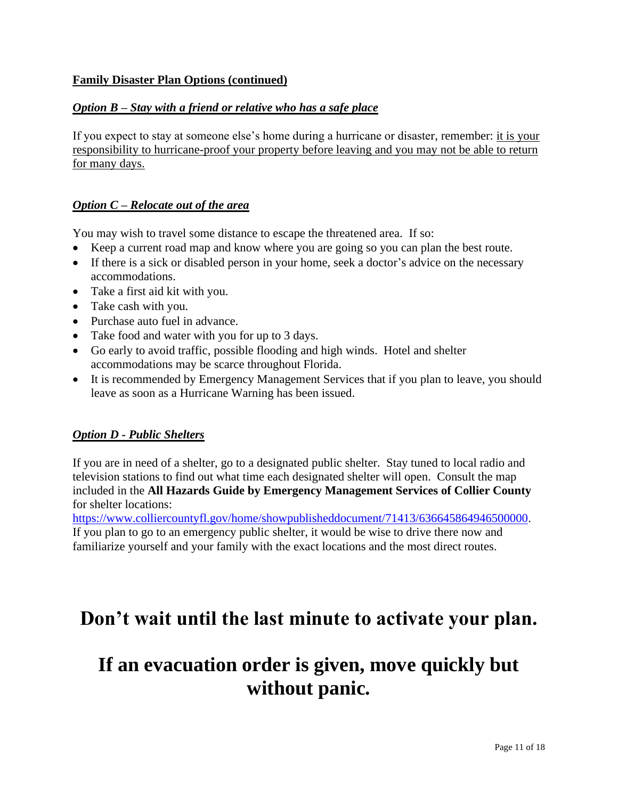# **Family Disaster Plan Options (continued)**

### *Option B – Stay with a friend or relative who has a safe place*

If you expect to stay at someone else's home during a hurricane or disaster, remember: it is your responsibility to hurricane-proof your property before leaving and you may not be able to return for many days.

### *Option C – Relocate out of the area*

You may wish to travel some distance to escape the threatened area. If so:

- Keep a current road map and know where you are going so you can plan the best route.
- If there is a sick or disabled person in your home, seek a doctor's advice on the necessary accommodations.
- Take a first aid kit with you.
- Take cash with you.
- Purchase auto fuel in advance.
- Take food and water with you for up to 3 days.
- Go early to avoid traffic, possible flooding and high winds. Hotel and shelter accommodations may be scarce throughout Florida.
- It is recommended by Emergency Management Services that if you plan to leave, you should leave as soon as a Hurricane Warning has been issued.

### *Option D - Public Shelters*

If you are in need of a shelter, go to a designated public shelter. Stay tuned to local radio and television stations to find out what time each designated shelter will open. Consult the map included in the **All Hazards Guide by Emergency Management Services of Collier County** for shelter locations:

[https://www.colliercountyfl.gov/home/showpublisheddocument/71413/636645864946500000.](https://www.colliercountyfl.gov/home/showpublisheddocument/71413/636645864946500000) If you plan to go to an emergency public shelter, it would be wise to drive there now and familiarize yourself and your family with the exact locations and the most direct routes.

# **Don't wait until the last minute to activate your plan.**

# **If an evacuation order is given, move quickly but without panic.**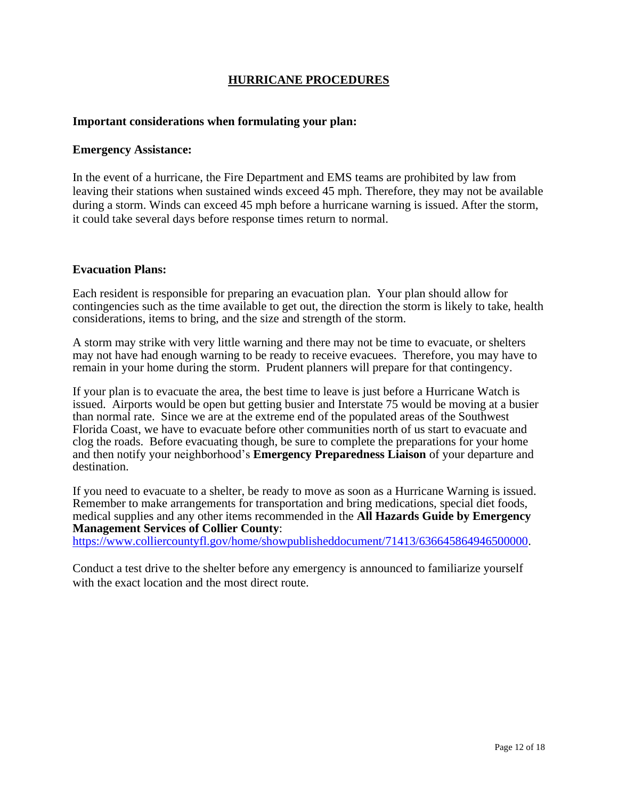### **HURRICANE PROCEDURES**

### **Important considerations when formulating your plan:**

### **Emergency Assistance:**

In the event of a hurricane, the Fire Department and EMS teams are prohibited by law from leaving their stations when sustained winds exceed 45 mph. Therefore, they may not be available during a storm. Winds can exceed 45 mph before a hurricane warning is issued. After the storm, it could take several days before response times return to normal.

### **Evacuation Plans:**

Each resident is responsible for preparing an evacuation plan. Your plan should allow for contingencies such as the time available to get out, the direction the storm is likely to take, health considerations, items to bring, and the size and strength of the storm.

A storm may strike with very little warning and there may not be time to evacuate, or shelters may not have had enough warning to be ready to receive evacuees. Therefore, you may have to remain in your home during the storm. Prudent planners will prepare for that contingency.

If your plan is to evacuate the area, the best time to leave is just before a Hurricane Watch is issued. Airports would be open but getting busier and Interstate 75 would be moving at a busier than normal rate. Since we are at the extreme end of the populated areas of the Southwest Florida Coast, we have to evacuate before other communities north of us start to evacuate and clog the roads. Before evacuating though, be sure to complete the preparations for your home and then notify your neighborhood's **Emergency Preparedness Liaison** of your departure and destination.

If you need to evacuate to a shelter, be ready to move as soon as a Hurricane Warning is issued. Remember to make arrangements for transportation and bring medications, special diet foods, medical supplies and any other items recommended in the **All Hazards Guide by Emergency Management Services of Collier County**:

[https://www.colliercountyfl.gov/home/showpublisheddocument/71413/636645864946500000.](https://www.colliercountyfl.gov/home/showpublisheddocument/71413/636645864946500000)

Conduct a test drive to the shelter before any emergency is announced to familiarize yourself with the exact location and the most direct route.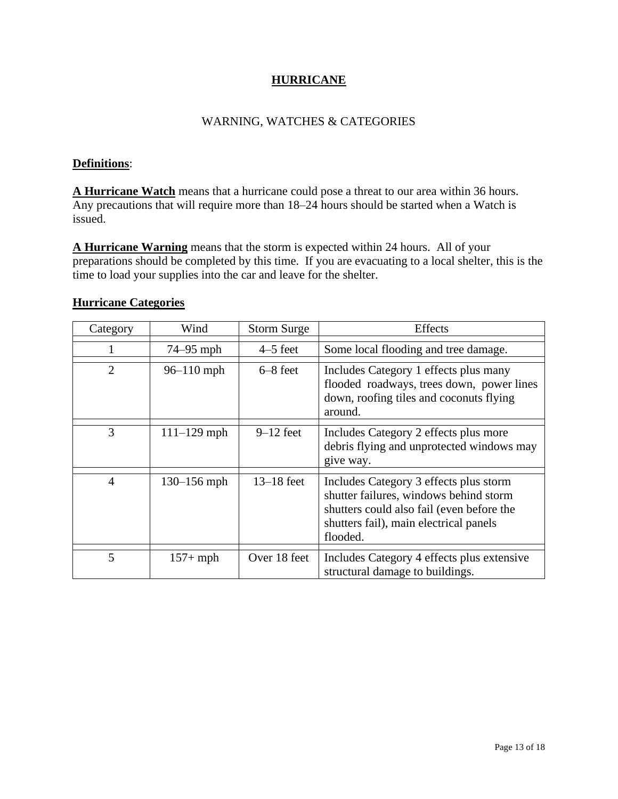# **HURRICANE**

### WARNING, WATCHES & CATEGORIES

# **Definitions**:

**A Hurricane Watch** means that a hurricane could pose a threat to our area within 36 hours. Any precautions that will require more than 18–24 hours should be started when a Watch is issued.

**A Hurricane Warning** means that the storm is expected within 24 hours. All of your preparations should be completed by this time. If you are evacuating to a local shelter, this is the time to load your supplies into the car and leave for the shelter.

| Category       | Wind            | <b>Storm Surge</b> | <b>Effects</b>                                                                                                                                                                      |
|----------------|-----------------|--------------------|-------------------------------------------------------------------------------------------------------------------------------------------------------------------------------------|
|                | 74–95 mph       | $4-5$ feet         | Some local flooding and tree damage.                                                                                                                                                |
| $\overline{2}$ | $96 - 110$ mph  | $6 - 8$ feet       | Includes Category 1 effects plus many<br>flooded roadways, trees down, power lines<br>down, roofing tiles and coconuts flying<br>around.                                            |
| 3              | $111 - 129$ mph | $9-12$ feet        | Includes Category 2 effects plus more<br>debris flying and unprotected windows may<br>give way.                                                                                     |
| $\overline{4}$ | $130 - 156$ mph | $13-18$ feet       | Includes Category 3 effects plus storm<br>shutter failures, windows behind storm<br>shutters could also fail (even before the<br>shutters fail), main electrical panels<br>flooded. |
| 5              | $157+mph$       | Over 18 feet       | Includes Category 4 effects plus extensive<br>structural damage to buildings.                                                                                                       |

# **Hurricane Categories**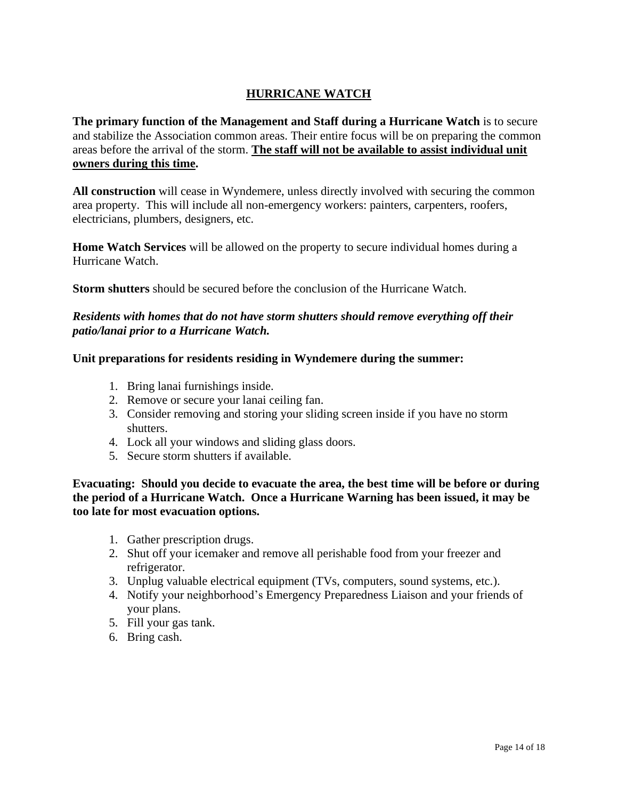# **HURRICANE WATCH**

**The primary function of the Management and Staff during a Hurricane Watch** is to secure and stabilize the Association common areas. Their entire focus will be on preparing the common areas before the arrival of the storm. **The staff will not be available to assist individual unit owners during this time.**

**All construction** will cease in Wyndemere, unless directly involved with securing the common area property. This will include all non-emergency workers: painters, carpenters, roofers, electricians, plumbers, designers, etc.

**Home Watch Services** will be allowed on the property to secure individual homes during a Hurricane Watch.

**Storm shutters** should be secured before the conclusion of the Hurricane Watch.

### *Residents with homes that do not have storm shutters should remove everything off their patio/lanai prior to a Hurricane Watch.*

# **Unit preparations for residents residing in Wyndemere during the summer:**

- 1. Bring lanai furnishings inside.
- 2. Remove or secure your lanai ceiling fan.
- 3. Consider removing and storing your sliding screen inside if you have no storm shutters.
- 4. Lock all your windows and sliding glass doors.
- 5. Secure storm shutters if available.

**Evacuating: Should you decide to evacuate the area, the best time will be before or during the period of a Hurricane Watch. Once a Hurricane Warning has been issued, it may be too late for most evacuation options.** 

- 1. Gather prescription drugs.
- 2. Shut off your icemaker and remove all perishable food from your freezer and refrigerator.
- 3. Unplug valuable electrical equipment (TVs, computers, sound systems, etc.).
- 4. Notify your neighborhood's Emergency Preparedness Liaison and your friends of your plans.
- 5. Fill your gas tank.
- 6. Bring cash.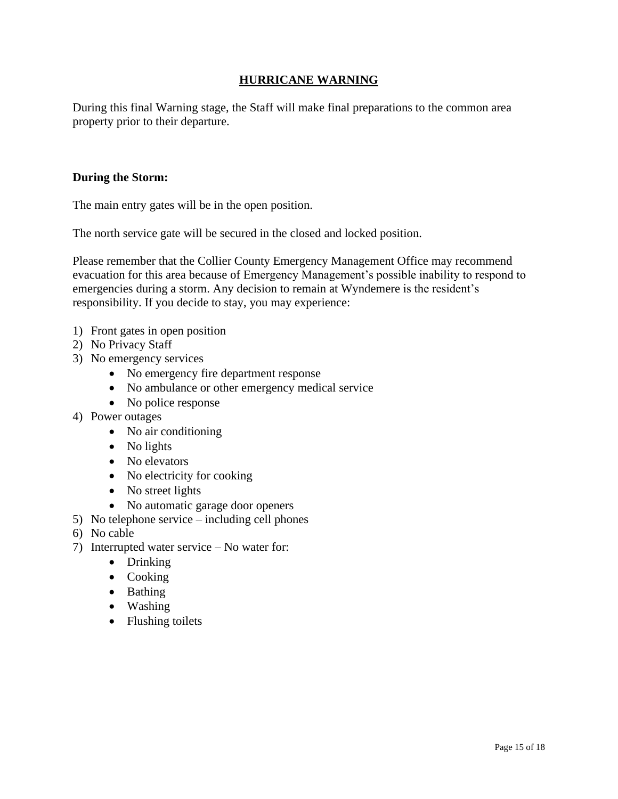# **HURRICANE WARNING**

During this final Warning stage, the Staff will make final preparations to the common area property prior to their departure.

### **During the Storm:**

The main entry gates will be in the open position.

The north service gate will be secured in the closed and locked position.

Please remember that the Collier County Emergency Management Office may recommend evacuation for this area because of Emergency Management's possible inability to respond to emergencies during a storm. Any decision to remain at Wyndemere is the resident's responsibility. If you decide to stay, you may experience:

- 1) Front gates in open position
- 2) No Privacy Staff
- 3) No emergency services
	- No emergency fire department response
	- No ambulance or other emergency medical service
	- No police response
- 4) Power outages
	- No air conditioning
	- No lights
	- No elevators
	- No electricity for cooking
	- No street lights
	- No automatic garage door openers
- 5) No telephone service including cell phones
- 6) No cable
- 7) Interrupted water service No water for:
	- Drinking
	- Cooking
	- Bathing
	- Washing
	- Flushing toilets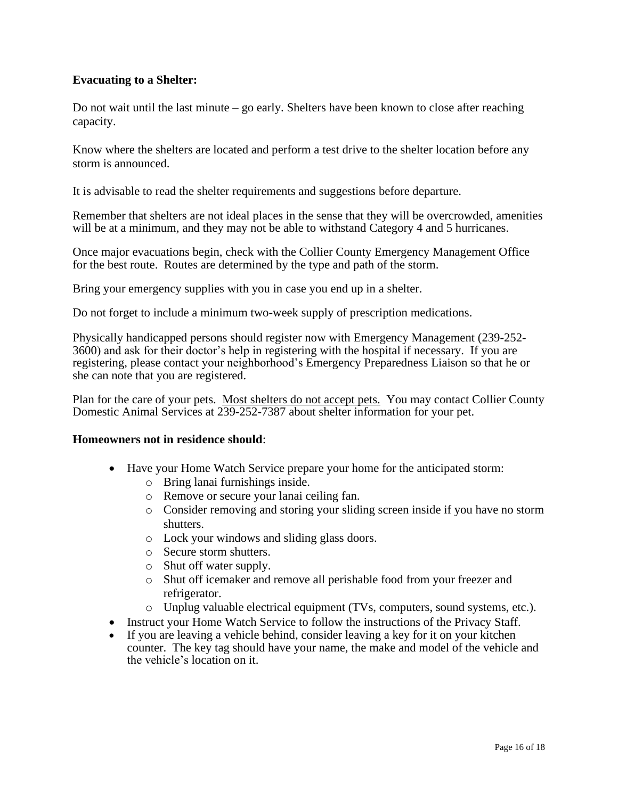### **Evacuating to a Shelter:**

Do not wait until the last minute – go early. Shelters have been known to close after reaching capacity.

Know where the shelters are located and perform a test drive to the shelter location before any storm is announced.

It is advisable to read the shelter requirements and suggestions before departure.

Remember that shelters are not ideal places in the sense that they will be overcrowded, amenities will be at a minimum, and they may not be able to withstand Category 4 and 5 hurricanes.

Once major evacuations begin, check with the Collier County Emergency Management Office for the best route. Routes are determined by the type and path of the storm.

Bring your emergency supplies with you in case you end up in a shelter.

Do not forget to include a minimum two-week supply of prescription medications.

Physically handicapped persons should register now with Emergency Management (239-252- 3600) and ask for their doctor's help in registering with the hospital if necessary. If you are registering, please contact your neighborhood's Emergency Preparedness Liaison so that he or she can note that you are registered.

Plan for the care of your pets. Most shelters do not accept pets. You may contact Collier County Domestic Animal Services at 239-252-7387 about shelter information for your pet.

### **Homeowners not in residence should**:

- Have your Home Watch Service prepare your home for the anticipated storm:
	- o Bring lanai furnishings inside.
	- o Remove or secure your lanai ceiling fan.
	- o Consider removing and storing your sliding screen inside if you have no storm shutters.
	- o Lock your windows and sliding glass doors.
	- o Secure storm shutters.
	- o Shut off water supply.
	- o Shut off icemaker and remove all perishable food from your freezer and refrigerator.
	- o Unplug valuable electrical equipment (TVs, computers, sound systems, etc.).
- Instruct your Home Watch Service to follow the instructions of the Privacy Staff.
- If you are leaving a vehicle behind, consider leaving a key for it on your kitchen counter. The key tag should have your name, the make and model of the vehicle and the vehicle's location on it.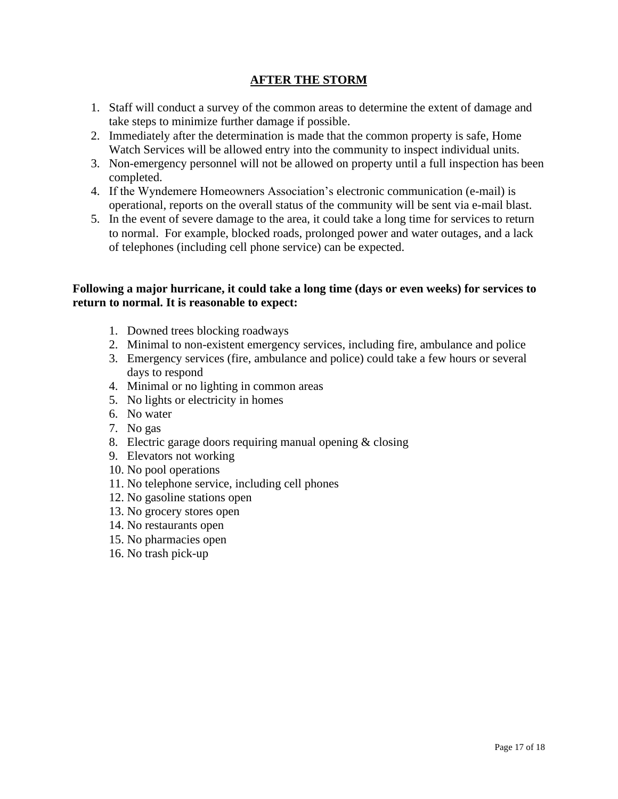# **AFTER THE STORM**

- 1. Staff will conduct a survey of the common areas to determine the extent of damage and take steps to minimize further damage if possible.
- 2. Immediately after the determination is made that the common property is safe, Home Watch Services will be allowed entry into the community to inspect individual units.
- 3. Non-emergency personnel will not be allowed on property until a full inspection has been completed.
- 4. If the Wyndemere Homeowners Association's electronic communication (e-mail) is operational, reports on the overall status of the community will be sent via e-mail blast.
- 5. In the event of severe damage to the area, it could take a long time for services to return to normal. For example, blocked roads, prolonged power and water outages, and a lack of telephones (including cell phone service) can be expected.

### **Following a major hurricane, it could take a long time (days or even weeks) for services to return to normal. It is reasonable to expect:**

- 1. Downed trees blocking roadways
- 2. Minimal to non-existent emergency services, including fire, ambulance and police
- 3. Emergency services (fire, ambulance and police) could take a few hours or several days to respond
- 4. Minimal or no lighting in common areas
- 5. No lights or electricity in homes
- 6. No water
- 7. No gas
- 8. Electric garage doors requiring manual opening & closing
- 9. Elevators not working
- 10. No pool operations
- 11. No telephone service, including cell phones
- 12. No gasoline stations open
- 13. No grocery stores open
- 14. No restaurants open
- 15. No pharmacies open
- 16. No trash pick-up